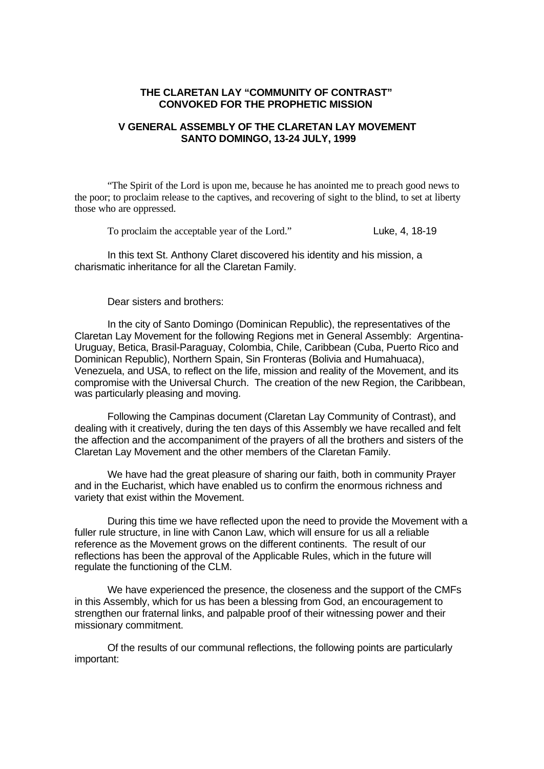### **THE CLARETAN LAY "COMMUNITY OF CONTRAST" CONVOKED FOR THE PROPHETIC MISSION**

# **V GENERAL ASSEMBLY OF THE CLARETAN LAY MOVEMENT SANTO DOMINGO, 13-24 JULY, 1999**

"The Spirit of the Lord is upon me, because he has anointed me to preach good news to the poor; to proclaim release to the captives, and recovering of sight to the blind, to set at liberty those who are oppressed.

To proclaim the acceptable year of the Lord." Luke, 4, 18-19

In this text St. Anthony Claret discovered his identity and his mission, a charismatic inheritance for all the Claretan Family.

Dear sisters and brothers:

In the city of Santo Domingo (Dominican Republic), the representatives of the Claretan Lay Movement for the following Regions met in General Assembly: Argentina-Uruguay, Betica, Brasil-Paraguay, Colombia, Chile, Caribbean (Cuba, Puerto Rico and Dominican Republic), Northern Spain, Sin Fronteras (Bolivia and Humahuaca), Venezuela, and USA, to reflect on the life, mission and reality of the Movement, and its compromise with the Universal Church. The creation of the new Region, the Caribbean, was particularly pleasing and moving.

Following the Campinas document (Claretan Lay Community of Contrast), and dealing with it creatively, during the ten days of this Assembly we have recalled and felt the affection and the accompaniment of the prayers of all the brothers and sisters of the Claretan Lay Movement and the other members of the Claretan Family.

We have had the great pleasure of sharing our faith, both in community Prayer and in the Eucharist, which have enabled us to confirm the enormous richness and variety that exist within the Movement.

During this time we have reflected upon the need to provide the Movement with a fuller rule structure, in line with Canon Law, which will ensure for us all a reliable reference as the Movement grows on the different continents. The result of our reflections has been the approval of the Applicable Rules, which in the future will regulate the functioning of the CLM.

We have experienced the presence, the closeness and the support of the CMFs in this Assembly, which for us has been a blessing from God, an encouragement to strengthen our fraternal links, and palpable proof of their witnessing power and their missionary commitment.

Of the results of our communal reflections, the following points are particularly important: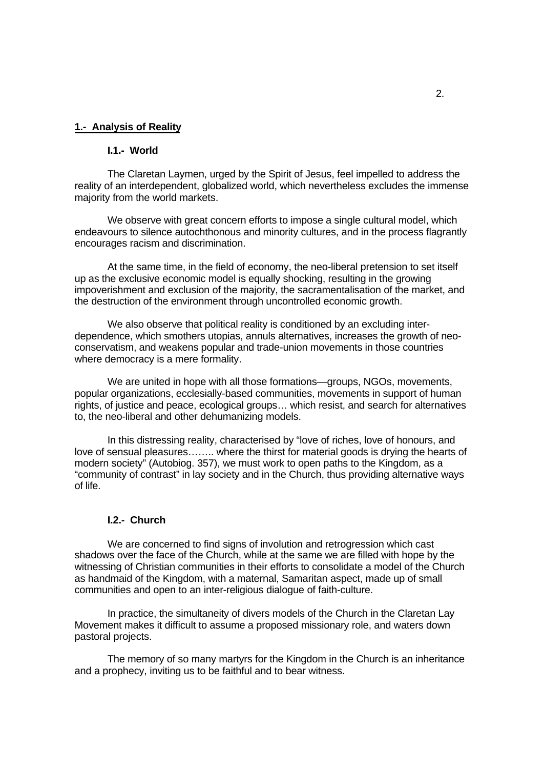#### **1.- Analysis of Reality**

## **I.1.- World**

The Claretan Laymen, urged by the Spirit of Jesus, feel impelled to address the reality of an interdependent, globalized world, which nevertheless excludes the immense majority from the world markets.

We observe with great concern efforts to impose a single cultural model, which endeavours to silence autochthonous and minority cultures, and in the process flagrantly encourages racism and discrimination.

At the same time, in the field of economy, the neo-liberal pretension to set itself up as the exclusive economic model is equally shocking, resulting in the growing impoverishment and exclusion of the majority, the sacramentalisation of the market, and the destruction of the environment through uncontrolled economic growth.

We also observe that political reality is conditioned by an excluding interdependence, which smothers utopias, annuls alternatives, increases the growth of neoconservatism, and weakens popular and trade-union movements in those countries where democracy is a mere formality.

We are united in hope with all those formations—groups, NGOs, movements, popular organizations, ecclesially-based communities, movements in support of human rights, of justice and peace, ecological groups… which resist, and search for alternatives to, the neo-liberal and other dehumanizing models.

In this distressing reality, characterised by "love of riches, love of honours, and love of sensual pleasures…….. where the thirst for material goods is drying the hearts of modern society" (Autobiog. 357), we must work to open paths to the Kingdom, as a "community of contrast" in lay society and in the Church, thus providing alternative ways of life.

## **I.2.- Church**

We are concerned to find signs of involution and retrogression which cast shadows over the face of the Church, while at the same we are filled with hope by the witnessing of Christian communities in their efforts to consolidate a model of the Church as handmaid of the Kingdom, with a maternal, Samaritan aspect, made up of small communities and open to an inter-religious dialogue of faith-culture.

In practice, the simultaneity of divers models of the Church in the Claretan Lay Movement makes it difficult to assume a proposed missionary role, and waters down pastoral projects.

The memory of so many martyrs for the Kingdom in the Church is an inheritance and a prophecy, inviting us to be faithful and to bear witness.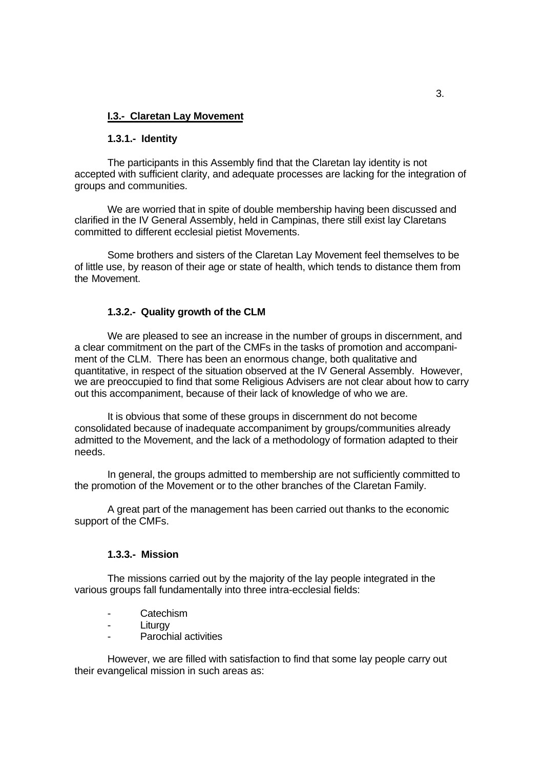## **I.3.- Claretan Lay Movement**

#### **1.3.1.- Identity**

The participants in this Assembly find that the Claretan lay identity is not accepted with sufficient clarity, and adequate processes are lacking for the integration of groups and communities.

We are worried that in spite of double membership having been discussed and clarified in the IV General Assembly, held in Campinas, there still exist lay Claretans committed to different ecclesial pietist Movements.

Some brothers and sisters of the Claretan Lay Movement feel themselves to be of little use, by reason of their age or state of health, which tends to distance them from the Movement.

#### **1.3.2.- Quality growth of the CLM**

We are pleased to see an increase in the number of groups in discernment, and a clear commitment on the part of the CMFs in the tasks of promotion and accompaniment of the CLM. There has been an enormous change, both qualitative and quantitative, in respect of the situation observed at the IV General Assembly. However, we are preoccupied to find that some Religious Advisers are not clear about how to carry out this accompaniment, because of their lack of knowledge of who we are.

It is obvious that some of these groups in discernment do not become consolidated because of inadequate accompaniment by groups/communities already admitted to the Movement, and the lack of a methodology of formation adapted to their needs.

In general, the groups admitted to membership are not sufficiently committed to the promotion of the Movement or to the other branches of the Claretan Family.

A great part of the management has been carried out thanks to the economic support of the CMFs.

## **1.3.3.- Mission**

The missions carried out by the majority of the lay people integrated in the various groups fall fundamentally into three intra-ecclesial fields:

- Catechism
- Liturav
- Parochial activities

However, we are filled with satisfaction to find that some lay people carry out their evangelical mission in such areas as: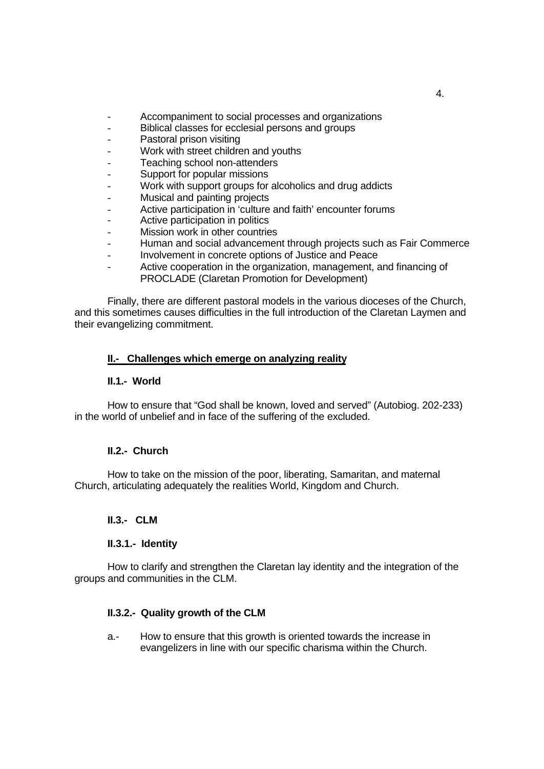- Accompaniment to social processes and organizations
- Biblical classes for ecclesial persons and groups
- Pastoral prison visiting
- Work with street children and youths
- Teaching school non-attenders
- Support for popular missions
- Work with support groups for alcoholics and drug addicts
- Musical and painting projects
- Active participation in 'culture and faith' encounter forums
- Active participation in politics
- Mission work in other countries
- Human and social advancement through projects such as Fair Commerce
- Involvement in concrete options of Justice and Peace
- Active cooperation in the organization, management, and financing of PROCLADE (Claretan Promotion for Development)

Finally, there are different pastoral models in the various dioceses of the Church, and this sometimes causes difficulties in the full introduction of the Claretan Laymen and their evangelizing commitment.

# **II.- Challenges which emerge on analyzing reality**

### **II.1.- World**

How to ensure that "God shall be known, loved and served" (Autobiog. 202-233) in the world of unbelief and in face of the suffering of the excluded.

### **II.2.- Church**

How to take on the mission of the poor, liberating, Samaritan, and maternal Church, articulating adequately the realities World, Kingdom and Church.

### **II.3.- CLM**

### **II.3.1.- Identity**

How to clarify and strengthen the Claretan lay identity and the integration of the groups and communities in the CLM.

# **II.3.2.- Quality growth of the CLM**

a.- How to ensure that this growth is oriented towards the increase in evangelizers in line with our specific charisma within the Church.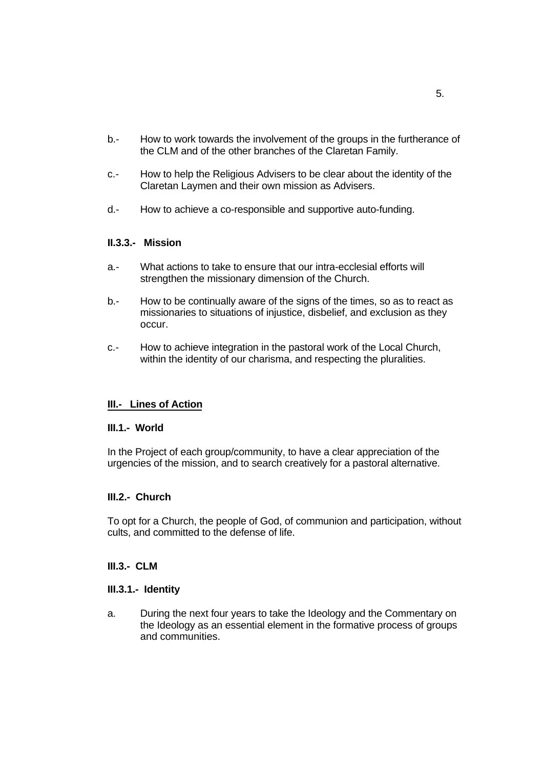- b.- How to work towards the involvement of the groups in the furtherance of the CLM and of the other branches of the Claretan Family.
- c.- How to help the Religious Advisers to be clear about the identity of the Claretan Laymen and their own mission as Advisers.
- d.- How to achieve a co-responsible and supportive auto-funding.

# **II.3.3.- Mission**

- a.- What actions to take to ensure that our intra-ecclesial efforts will strengthen the missionary dimension of the Church.
- b.- How to be continually aware of the signs of the times, so as to react as missionaries to situations of injustice, disbelief, and exclusion as they occur.
- c.- How to achieve integration in the pastoral work of the Local Church, within the identity of our charisma, and respecting the pluralities.

# **III.- Lines of Action**

### **III.1.- World**

In the Project of each group/community, to have a clear appreciation of the urgencies of the mission, and to search creatively for a pastoral alternative.

# **III.2.- Church**

To opt for a Church, the people of God, of communion and participation, without cults, and committed to the defense of life.

### **III.3.- CLM**

### **III.3.1.- Identity**

a. During the next four years to take the Ideology and the Commentary on the Ideology as an essential element in the formative process of groups and communities.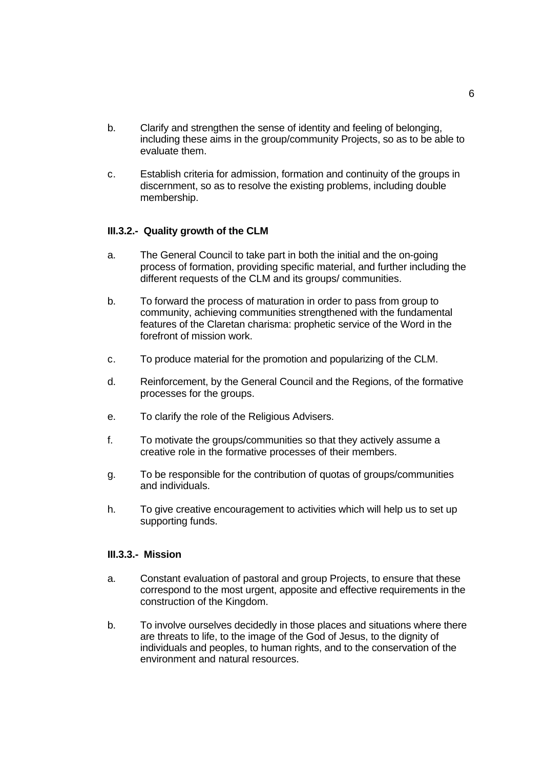- b. Clarify and strengthen the sense of identity and feeling of belonging, including these aims in the group/community Projects, so as to be able to evaluate them.
- c. Establish criteria for admission, formation and continuity of the groups in discernment, so as to resolve the existing problems, including double membership.

# **III.3.2.- Quality growth of the CLM**

- a. The General Council to take part in both the initial and the on-going process of formation, providing specific material, and further including the different requests of the CLM and its groups/ communities.
- b. To forward the process of maturation in order to pass from group to community, achieving communities strengthened with the fundamental features of the Claretan charisma: prophetic service of the Word in the forefront of mission work.
- c. To produce material for the promotion and popularizing of the CLM.
- d. Reinforcement, by the General Council and the Regions, of the formative processes for the groups.
- e. To clarify the role of the Religious Advisers.
- f. To motivate the groups/communities so that they actively assume a creative role in the formative processes of their members.
- g. To be responsible for the contribution of quotas of groups/communities and individuals.
- h. To give creative encouragement to activities which will help us to set up supporting funds.

### **III.3.3.- Mission**

- a. Constant evaluation of pastoral and group Projects, to ensure that these correspond to the most urgent, apposite and effective requirements in the construction of the Kingdom.
- b. To involve ourselves decidedly in those places and situations where there are threats to life, to the image of the God of Jesus, to the dignity of individuals and peoples, to human rights, and to the conservation of the environment and natural resources.